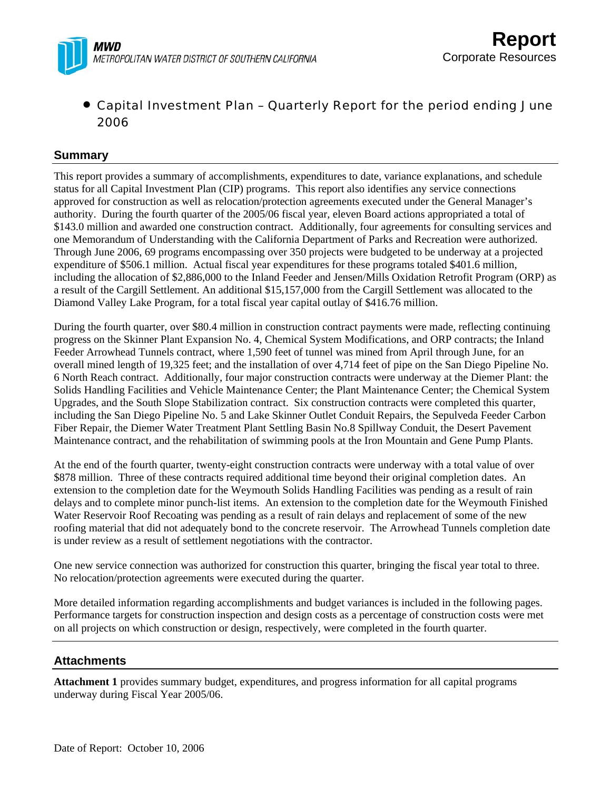

## • Capital Investment Plan – Quarterly Report for the period ending June 2006

## **Summary**

This report provides a summary of accomplishments, expenditures to date, variance explanations, and schedule status for all Capital Investment Plan (CIP) programs. This report also identifies any service connections approved for construction as well as relocation/protection agreements executed under the General Manager's authority. During the fourth quarter of the 2005/06 fiscal year, eleven Board actions appropriated a total of \$143.0 million and awarded one construction contract. Additionally, four agreements for consulting services and one Memorandum of Understanding with the California Department of Parks and Recreation were authorized. Through June 2006, 69 programs encompassing over 350 projects were budgeted to be underway at a projected expenditure of \$506.1 million. Actual fiscal year expenditures for these programs totaled \$401.6 million, including the allocation of \$2,886,000 to the Inland Feeder and Jensen/Mills Oxidation Retrofit Program (ORP) as a result of the Cargill Settlement. An additional \$15,157,000 from the Cargill Settlement was allocated to the Diamond Valley Lake Program, for a total fiscal year capital outlay of \$416.76 million.

During the fourth quarter, over \$80.4 million in construction contract payments were made, reflecting continuing progress on the Skinner Plant Expansion No. 4, Chemical System Modifications, and ORP contracts; the Inland Feeder Arrowhead Tunnels contract, where 1,590 feet of tunnel was mined from April through June, for an overall mined length of 19,325 feet; and the installation of over 4,714 feet of pipe on the San Diego Pipeline No. 6 North Reach contract. Additionally, four major construction contracts were underway at the Diemer Plant: the Solids Handling Facilities and Vehicle Maintenance Center; the Plant Maintenance Center; the Chemical System Upgrades, and the South Slope Stabilization contract. Six construction contracts were completed this quarter, including the San Diego Pipeline No. 5 and Lake Skinner Outlet Conduit Repairs, the Sepulveda Feeder Carbon Fiber Repair, the Diemer Water Treatment Plant Settling Basin No.8 Spillway Conduit, the Desert Pavement Maintenance contract, and the rehabilitation of swimming pools at the Iron Mountain and Gene Pump Plants.

At the end of the fourth quarter, twenty-eight construction contracts were underway with a total value of over \$878 million. Three of these contracts required additional time beyond their original completion dates. An extension to the completion date for the Weymouth Solids Handling Facilities was pending as a result of rain delays and to complete minor punch-list items. An extension to the completion date for the Weymouth Finished Water Reservoir Roof Recoating was pending as a result of rain delays and replacement of some of the new roofing material that did not adequately bond to the concrete reservoir. The Arrowhead Tunnels completion date is under review as a result of settlement negotiations with the contractor.

One new service connection was authorized for construction this quarter, bringing the fiscal year total to three. No relocation/protection agreements were executed during the quarter.

More detailed information regarding accomplishments and budget variances is included in the following pages. Performance targets for construction inspection and design costs as a percentage of construction costs were met on all projects on which construction or design, respectively, were completed in the fourth quarter.

## **Attachments**

**Attachment 1** provides summary budget, expenditures, and progress information for all capital programs underway during Fiscal Year 2005/06.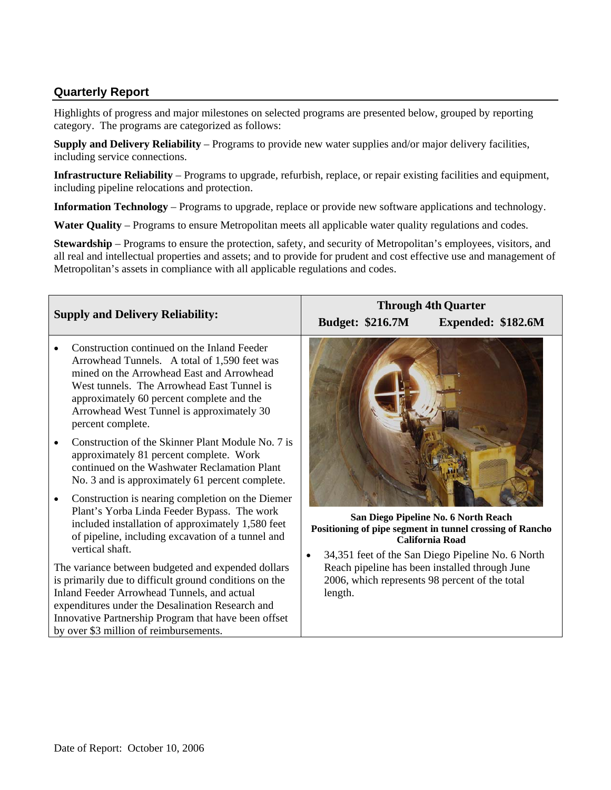## **Quarterly Report**

Highlights of progress and major milestones on selected programs are presented below, grouped by reporting category. The programs are categorized as follows:

**Supply and Delivery Reliability** – Programs to provide new water supplies and/or major delivery facilities, including service connections.

**Infrastructure Reliability** – Programs to upgrade, refurbish, replace, or repair existing facilities and equipment, including pipeline relocations and protection.

**Information Technology** – Programs to upgrade, replace or provide new software applications and technology.

**Water Quality** – Programs to ensure Metropolitan meets all applicable water quality regulations and codes.

**Stewardship** – Programs to ensure the protection, safety, and security of Metropolitan's employees, visitors, and all real and intellectual properties and assets; and to provide for prudent and cost effective use and management of Metropolitan's assets in compliance with all applicable regulations and codes.

|           |                                                                                                                                                                                                                                                                                                                   | <b>Through 4th Quarter</b> |                                                                                                                                                       |  |  |  |  |  |  |
|-----------|-------------------------------------------------------------------------------------------------------------------------------------------------------------------------------------------------------------------------------------------------------------------------------------------------------------------|----------------------------|-------------------------------------------------------------------------------------------------------------------------------------------------------|--|--|--|--|--|--|
|           | <b>Supply and Delivery Reliability:</b>                                                                                                                                                                                                                                                                           | <b>Budget: \$216.7M</b>    | Expended: \$182.6M                                                                                                                                    |  |  |  |  |  |  |
|           | Construction continued on the Inland Feeder<br>Arrowhead Tunnels. A total of 1,590 feet was<br>mined on the Arrowhead East and Arrowhead<br>West tunnels. The Arrowhead East Tunnel is<br>approximately 60 percent complete and the<br>Arrowhead West Tunnel is approximately 30<br>percent complete.             |                            |                                                                                                                                                       |  |  |  |  |  |  |
|           | Construction of the Skinner Plant Module No. 7 is<br>approximately 81 percent complete. Work<br>continued on the Washwater Reclamation Plant<br>No. 3 and is approximately 61 percent complete.                                                                                                                   |                            |                                                                                                                                                       |  |  |  |  |  |  |
| $\bullet$ | Construction is nearing completion on the Diemer<br>Plant's Yorba Linda Feeder Bypass. The work<br>included installation of approximately 1,580 feet<br>of pipeline, including excavation of a tunnel and<br>vertical shaft.                                                                                      |                            | San Diego Pipeline No. 6 North Reach<br>Positioning of pipe segment in tunnel crossing of Rancho<br><b>California Road</b>                            |  |  |  |  |  |  |
|           | The variance between budgeted and expended dollars<br>is primarily due to difficult ground conditions on the<br>Inland Feeder Arrowhead Tunnels, and actual<br>expenditures under the Desalination Research and<br>Innovative Partnership Program that have been offset<br>by over \$3 million of reimbursements. | $\bullet$<br>length.       | 34,351 feet of the San Diego Pipeline No. 6 North<br>Reach pipeline has been installed through June<br>2006, which represents 98 percent of the total |  |  |  |  |  |  |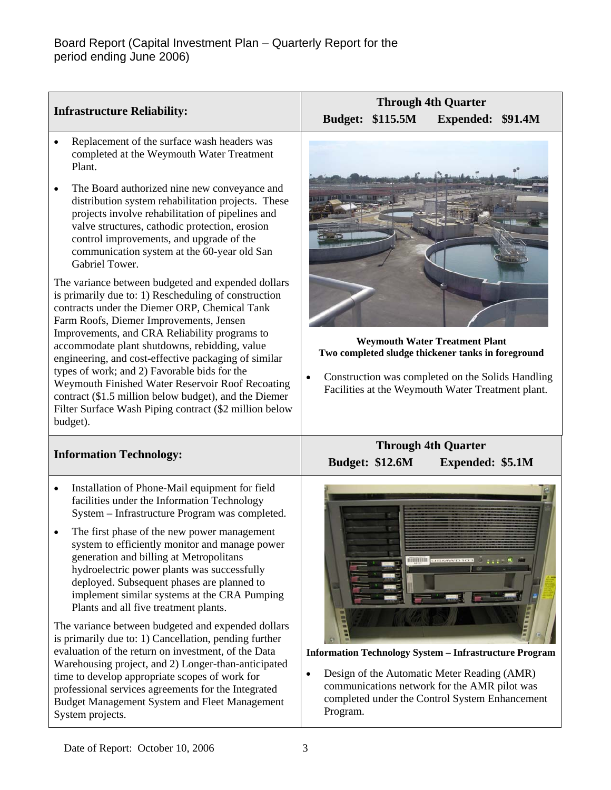|                                                                                                                                                                                                                                                                                                                                                                                                                                                                                                                                                                                                                                                                                                                                                                                                                                                                                                                                                                                                                                                              | <b>Through 4th Quarter</b>                                                                                                                                                                                                                                            |  |  |  |  |  |  |  |
|--------------------------------------------------------------------------------------------------------------------------------------------------------------------------------------------------------------------------------------------------------------------------------------------------------------------------------------------------------------------------------------------------------------------------------------------------------------------------------------------------------------------------------------------------------------------------------------------------------------------------------------------------------------------------------------------------------------------------------------------------------------------------------------------------------------------------------------------------------------------------------------------------------------------------------------------------------------------------------------------------------------------------------------------------------------|-----------------------------------------------------------------------------------------------------------------------------------------------------------------------------------------------------------------------------------------------------------------------|--|--|--|--|--|--|--|
| <b>Infrastructure Reliability:</b>                                                                                                                                                                                                                                                                                                                                                                                                                                                                                                                                                                                                                                                                                                                                                                                                                                                                                                                                                                                                                           | <b>Budget: \$115.5M</b><br>Expended: \$91.4M                                                                                                                                                                                                                          |  |  |  |  |  |  |  |
| Replacement of the surface wash headers was<br>$\bullet$<br>completed at the Weymouth Water Treatment<br>Plant.<br>The Board authorized nine new conveyance and<br>$\bullet$<br>distribution system rehabilitation projects. These<br>projects involve rehabilitation of pipelines and<br>valve structures, cathodic protection, erosion<br>control improvements, and upgrade of the<br>communication system at the 60-year old San<br>Gabriel Tower.<br>The variance between budgeted and expended dollars<br>is primarily due to: 1) Rescheduling of construction<br>contracts under the Diemer ORP, Chemical Tank<br>Farm Roofs, Diemer Improvements, Jensen<br>Improvements, and CRA Reliability programs to<br>accommodate plant shutdowns, rebidding, value<br>engineering, and cost-effective packaging of similar<br>types of work; and 2) Favorable bids for the<br>Weymouth Finished Water Reservoir Roof Recoating<br>contract (\$1.5 million below budget), and the Diemer<br>Filter Surface Wash Piping contract (\$2 million below<br>budget). | <b>Weymouth Water Treatment Plant</b><br>Two completed sludge thickener tanks in foreground<br>Construction was completed on the Solids Handling<br>$\bullet$<br>Facilities at the Weymouth Water Treatment plant.                                                    |  |  |  |  |  |  |  |
| <b>Information Technology:</b>                                                                                                                                                                                                                                                                                                                                                                                                                                                                                                                                                                                                                                                                                                                                                                                                                                                                                                                                                                                                                               | <b>Through 4th Quarter</b><br><b>Budget: \$12.6M</b><br><b>Expended: \$5.1M</b>                                                                                                                                                                                       |  |  |  |  |  |  |  |
| Installation of Phone-Mail equipment for field<br>$\bullet$<br>facilities under the Information Technology<br>System - Infrastructure Program was completed.<br>The first phase of the new power management<br>system to efficiently monitor and manage power<br>generation and billing at Metropolitans<br>hydroelectric power plants was successfully<br>deployed. Subsequent phases are planned to<br>implement similar systems at the CRA Pumping<br>Plants and all five treatment plants.<br>The variance between budgeted and expended dollars<br>is primarily due to: 1) Cancellation, pending further<br>evaluation of the return on investment, of the Data<br>Warehousing project, and 2) Longer-than-anticipated<br>time to develop appropriate scopes of work for<br>professional services agreements for the Integrated<br>Budget Management System and Fleet Management<br>System projects.                                                                                                                                                    | <b>NUMBER CONSTRUCTION</b><br><b>Information Technology System - Infrastructure Program</b><br>Design of the Automatic Meter Reading (AMR)<br>$\bullet$<br>communications network for the AMR pilot was<br>completed under the Control System Enhancement<br>Program. |  |  |  |  |  |  |  |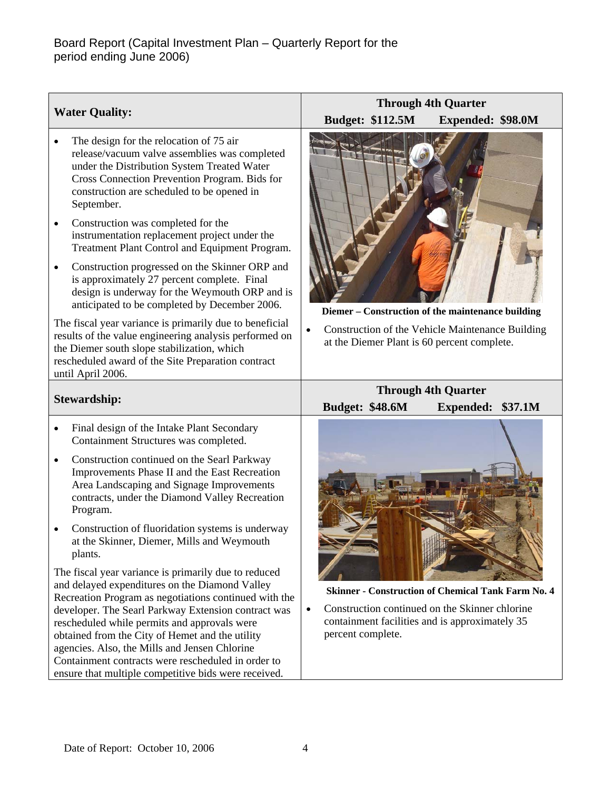| <b>Water Quality:</b>                                                                                                                                                                                                                                                                                                                                                                                                                                                                                                                                                                                          | <b>Through 4th Quarter</b><br><b>Budget: \$112.5M</b><br>Expended: \$98.0M                                                                                                                      |  |  |  |  |  |  |  |
|----------------------------------------------------------------------------------------------------------------------------------------------------------------------------------------------------------------------------------------------------------------------------------------------------------------------------------------------------------------------------------------------------------------------------------------------------------------------------------------------------------------------------------------------------------------------------------------------------------------|-------------------------------------------------------------------------------------------------------------------------------------------------------------------------------------------------|--|--|--|--|--|--|--|
| The design for the relocation of 75 air<br>release/vacuum valve assemblies was completed<br>under the Distribution System Treated Water<br>Cross Connection Prevention Program. Bids for<br>construction are scheduled to be opened in<br>September.<br>Construction was completed for the<br>$\bullet$<br>instrumentation replacement project under the<br>Treatment Plant Control and Equipment Program.<br>Construction progressed on the Skinner ORP and<br>is approximately 27 percent complete. Final<br>design is underway for the Weymouth ORP and is<br>anticipated to be completed by December 2006. | Diemer – Construction of the maintenance building                                                                                                                                               |  |  |  |  |  |  |  |
| The fiscal year variance is primarily due to beneficial<br>results of the value engineering analysis performed on<br>the Diemer south slope stabilization, which<br>rescheduled award of the Site Preparation contract<br>until April 2006.                                                                                                                                                                                                                                                                                                                                                                    | Construction of the Vehicle Maintenance Building<br>at the Diemer Plant is 60 percent complete.                                                                                                 |  |  |  |  |  |  |  |
| <b>Stewardship:</b>                                                                                                                                                                                                                                                                                                                                                                                                                                                                                                                                                                                            | <b>Through 4th Quarter</b><br><b>Budget: \$48.6M</b><br>\$37.1M<br><b>Expended:</b>                                                                                                             |  |  |  |  |  |  |  |
| Final design of the Intake Plant Secondary<br>Containment Structures was completed.                                                                                                                                                                                                                                                                                                                                                                                                                                                                                                                            |                                                                                                                                                                                                 |  |  |  |  |  |  |  |
| Construction continued on the Searl Parkway<br>$\bullet$<br>Improvements Phase II and the East Recreation<br>Area Landscaping and Signage Improvements<br>contracts, under the Diamond Valley Recreation<br>Program.                                                                                                                                                                                                                                                                                                                                                                                           |                                                                                                                                                                                                 |  |  |  |  |  |  |  |
| Construction of fluoridation systems is underway<br>at the Skinner, Diemer, Mills and Weymouth<br>plants.                                                                                                                                                                                                                                                                                                                                                                                                                                                                                                      |                                                                                                                                                                                                 |  |  |  |  |  |  |  |
| The fiscal year variance is primarily due to reduced<br>and delayed expenditures on the Diamond Valley<br>Recreation Program as negotiations continued with the<br>developer. The Searl Parkway Extension contract was<br>rescheduled while permits and approvals were<br>obtained from the City of Hemet and the utility<br>agencies. Also, the Mills and Jensen Chlorine<br>Containment contracts were rescheduled in order to<br>ensure that multiple competitive bids were received.                                                                                                                       | <b>Skinner - Construction of Chemical Tank Farm No. 4</b><br>Construction continued on the Skinner chlorine<br>$\bullet$<br>containment facilities and is approximately 35<br>percent complete. |  |  |  |  |  |  |  |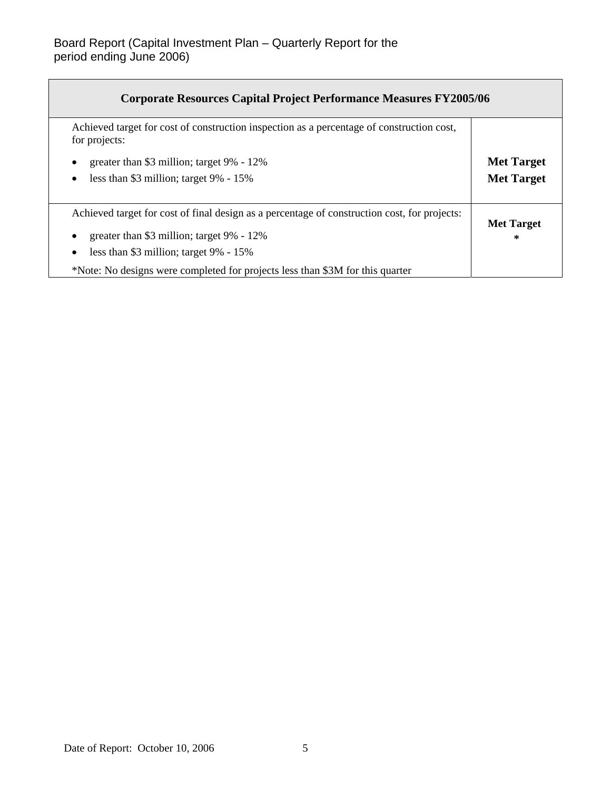| <b>Corporate Resources Capital Project Performance Measures FY2005/06</b>                                  |                   |
|------------------------------------------------------------------------------------------------------------|-------------------|
| Achieved target for cost of construction inspection as a percentage of construction cost,<br>for projects: |                   |
| greater than \$3 million; target 9% - 12%                                                                  | <b>Met Target</b> |
| less than \$3 million; target 9% - 15%<br>$\bullet$                                                        | <b>Met Target</b> |
| Achieved target for cost of final design as a percentage of construction cost, for projects:               | <b>Met Target</b> |
| greater than \$3 million; target 9% - 12%                                                                  | $\ast$            |
| less than \$3 million; target 9% - 15%                                                                     |                   |
| *Note: No designs were completed for projects less than \$3M for this quarter                              |                   |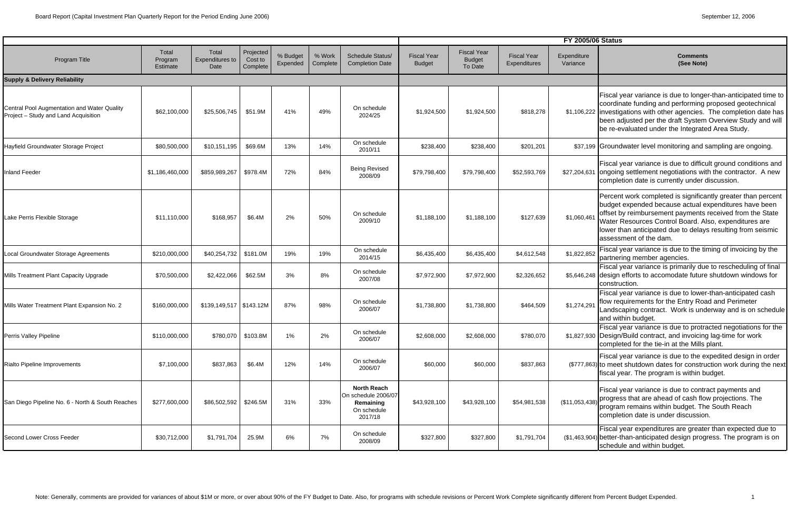|                                                                                     |                              |                                         |                                  |                      |                    |                                                                                  | <b>FY 2005/06 Status</b>            |                                                |                                    |                         |                                                                                                                                                                                                                                                                                                                                     |
|-------------------------------------------------------------------------------------|------------------------------|-----------------------------------------|----------------------------------|----------------------|--------------------|----------------------------------------------------------------------------------|-------------------------------------|------------------------------------------------|------------------------------------|-------------------------|-------------------------------------------------------------------------------------------------------------------------------------------------------------------------------------------------------------------------------------------------------------------------------------------------------------------------------------|
| Program Title                                                                       | Total<br>Program<br>Estimate | Total<br><b>Expenditures to</b><br>Date | Projected<br>Cost to<br>Complete | % Budget<br>Expended | % Work<br>Complete | <b>Schedule Status/</b><br><b>Completion Date</b>                                | <b>Fiscal Year</b><br><b>Budget</b> | <b>Fiscal Year</b><br><b>Budget</b><br>To Date | <b>Fiscal Year</b><br>Expenditures | Expenditure<br>Variance | Comments<br>(See Note)                                                                                                                                                                                                                                                                                                              |
| <b>Supply &amp; Delivery Reliability</b>                                            |                              |                                         |                                  |                      |                    |                                                                                  |                                     |                                                |                                    |                         |                                                                                                                                                                                                                                                                                                                                     |
| Central Pool Augmentation and Water Quality<br>Project - Study and Land Acquisition | \$62,100,000                 | \$25,506,745                            | \$51.9M                          | 41%                  | 49%                | On schedule<br>2024/25                                                           | \$1,924,500                         | \$1,924,500                                    | \$818,278                          |                         | Fiscal year variance is due to longer-than-anticipated time to<br>coordinate funding and performing proposed geotechnical<br>\$1,106,222 investigations with other agencies. The completion date has<br>been adjusted per the draft System Overview Study and will<br>be re-evaluated under the Integrated Area Study.              |
| Hayfield Groundwater Storage Project                                                | \$80,500,000                 | \$10,151,195                            | \$69.6M                          | 13%                  | 14%                | On schedule<br>2010/11                                                           | \$238,400                           | \$238,400                                      | \$201,201                          |                         | \$37,199 Groundwater level monitoring and sampling are ongoing.                                                                                                                                                                                                                                                                     |
| <b>Inland Feeder</b>                                                                | \$1,186,460,000              | \$859,989,267                           | \$978.4M                         | 72%                  | 84%                | <b>Being Revised</b><br>2008/09                                                  | \$79,798,400                        | \$79,798,400                                   | \$52,593,769                       | \$27,204,631            | Fiscal year variance is due to difficult ground conditions and<br>ongoing settlement negotiations with the contractor. A new<br>completion date is currently under discussion.                                                                                                                                                      |
| Lake Perris Flexible Storage                                                        | \$11,110,000                 | \$168,957                               | \$6.4M                           | 2%                   | 50%                | On schedule<br>2009/10                                                           | \$1,188,100                         | \$1,188,100                                    | \$127,639                          | \$1,060,461             | Percent work completed is significantly greater than percent<br>budget expended because actual expenditures have been<br>offset by reimbursement payments received from the State<br>Water Resources Control Board. Also, expenditures are<br>lower than anticipated due to delays resulting from seismic<br>assessment of the dam. |
| Local Groundwater Storage Agreements                                                | \$210,000,000                | \$40,254,732                            | \$181.0M                         | 19%                  | 19%                | On schedule<br>2014/15                                                           | \$6,435,400                         | \$6,435,400                                    | \$4,612,548                        | \$1,822,852             | Fiscal year variance is due to the timing of invoicing by the<br>partnering member agencies.                                                                                                                                                                                                                                        |
| Mills Treatment Plant Capacity Upgrade                                              | \$70,500,000                 | \$2,422,066                             | \$62.5M                          | 3%                   | 8%                 | On schedule<br>2007/08                                                           | \$7,972,900                         | \$7,972,900                                    | \$2,326,652                        |                         | Fiscal year variance is primarily due to rescheduling of final<br>\$5,646,248 design efforts to accomodate future shutdown windows for<br>construction.                                                                                                                                                                             |
| Mills Water Treatment Plant Expansion No. 2                                         | \$160,000,000                | $$139,149,517$ $$143.12M$               |                                  | 87%                  | 98%                | On schedule<br>2006/07                                                           | \$1,738,800                         | \$1,738,800                                    | \$464,509                          | \$1,274,291             | Fiscal year variance is due to lower-than-anticipated cash<br>flow requirements for the Entry Road and Perimeter<br>Landscaping contract. Work is underway and is on schedule<br>and within budget.                                                                                                                                 |
| Perris Valley Pipeline                                                              | \$110,000,000                |                                         | \$780,070 \$103.8M               | 1%                   | 2%                 | On schedule<br>2006/07                                                           | \$2,608,000                         | \$2,608,000                                    | \$780,070                          |                         | Fiscal year variance is due to protracted negotiations for the<br>\$1,827,930 Design/Build contract, and invoicing lag-time for work<br>completed for the tie-in at the Mills plant.                                                                                                                                                |
| Rialto Pipeline Improvements                                                        | \$7,100,000                  | \$837,863                               | \$6.4M                           | 12%                  | 14%                | On schedule<br>2006/07                                                           | \$60,000                            | \$60,000                                       | \$837,863                          |                         | Fiscal year variance is due to the expedited design in order<br>(\$777,863) to meet shutdown dates for construction work during the next<br>fiscal year. The program is within budget.                                                                                                                                              |
| San Diego Pipeline No. 6 - North & South Reaches                                    | \$277,600,000                | \$86,502,592 \$246.5M                   |                                  | 31%                  | 33%                | <b>North Reach</b><br>On schedule 2006/07<br>Remaining<br>On schedule<br>2017/18 | \$43,928,100                        | \$43,928,100                                   | \$54,981,538                       | (\$11,053,438)          | Fiscal year variance is due to contract payments and<br>progress that are ahead of cash flow projections. The<br>program remains within budget. The South Reach<br>completion date is under discussion.                                                                                                                             |
| <b>Second Lower Cross Feeder</b>                                                    | \$30,712,000                 | \$1,791,704                             | 25.9M                            | 6%                   | 7%                 | On schedule<br>2008/09                                                           | \$327,800                           | \$327,800                                      | \$1,791,704                        |                         | Fiscal year expenditures are greater than expected due to<br>(\$1,463,904) better-than-anticipated design progress. The program is on<br>schedule and within budget.                                                                                                                                                                |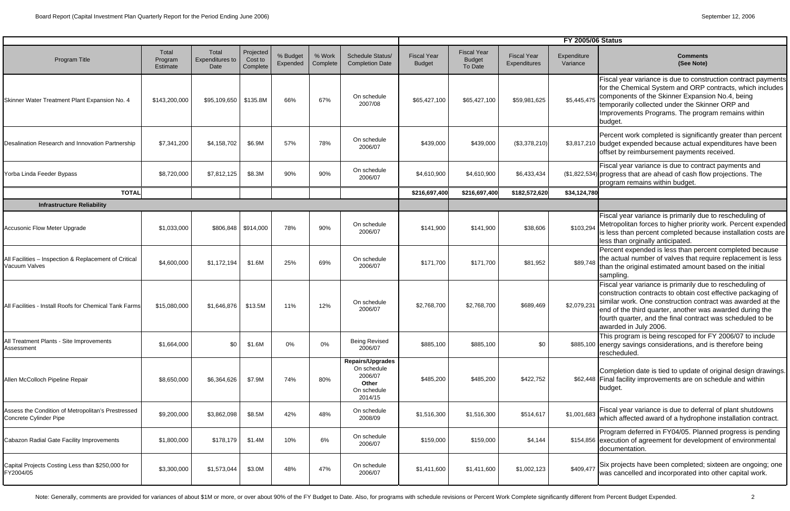|                                                                              |                              |                                         |                                  |                      |                    | <b>FY 2005/06 Status</b>                                                      |                                     |                                                |                                    |                         |                                                                                                                                                                                                                                                                                                                                           |
|------------------------------------------------------------------------------|------------------------------|-----------------------------------------|----------------------------------|----------------------|--------------------|-------------------------------------------------------------------------------|-------------------------------------|------------------------------------------------|------------------------------------|-------------------------|-------------------------------------------------------------------------------------------------------------------------------------------------------------------------------------------------------------------------------------------------------------------------------------------------------------------------------------------|
| Program Title                                                                | Total<br>Program<br>Estimate | Total<br><b>Expenditures to</b><br>Date | Projected<br>Cost to<br>Complete | % Budget<br>Expended | % Work<br>Complete | Schedule Status/<br><b>Completion Date</b>                                    | <b>Fiscal Year</b><br><b>Budget</b> | <b>Fiscal Year</b><br><b>Budget</b><br>To Date | <b>Fiscal Year</b><br>Expenditures | Expenditure<br>Variance | <b>Comments</b><br>(See Note)                                                                                                                                                                                                                                                                                                             |
| Skinner Water Treatment Plant Expansion No. 4                                | \$143,200,000                | \$95,109,650 \$135.8M                   |                                  | 66%                  | 67%                | On schedule<br>2007/08                                                        | \$65,427,100                        | \$65,427,100                                   | \$59,981,625                       | \$5,445,475             | Fiscal year variance is due to construction contract payments<br>for the Chemical System and ORP contracts, which includes<br>components of the Skinner Expansion No.4, being<br>temporarily collected under the Skinner ORP and<br>Improvements Programs. The program remains within<br>budget.                                          |
| Desalination Research and Innovation Partnership                             | \$7,341,200                  | \$4,158,702                             | \$6.9M                           | 57%                  | 78%                | On schedule<br>2006/07                                                        | \$439,000                           | \$439,000                                      | (\$3,378,210)                      |                         | Percent work completed is significantly greater than percent<br>\$3,817,210 budget expended because actual expenditures have been<br>offset by reimbursement payments received.                                                                                                                                                           |
| Yorba Linda Feeder Bypass                                                    | \$8,720,000                  | \$7,812,125                             | \$8.3M                           | 90%                  | 90%                | On schedule<br>2006/07                                                        | \$4,610,900                         | \$4,610,900                                    | \$6,433,434                        |                         | Fiscal year variance is due to contract payments and<br>(\$1,822,534) progress that are ahead of cash flow projections. The<br>program remains within budget.                                                                                                                                                                             |
| <b>TOTAL</b>                                                                 |                              |                                         |                                  |                      |                    |                                                                               | \$216,697,400                       | \$216,697,400                                  | \$182,572,620                      | \$34,124,780            |                                                                                                                                                                                                                                                                                                                                           |
| <b>Infrastructure Reliability</b>                                            |                              |                                         |                                  |                      |                    |                                                                               |                                     |                                                |                                    |                         |                                                                                                                                                                                                                                                                                                                                           |
| Accusonic Flow Meter Upgrade                                                 | \$1,033,000                  |                                         | $$806,848$ $$914,000$            | 78%                  | 90%                | On schedule<br>2006/07                                                        | \$141,900                           | \$141,900                                      | \$38,606                           | \$103,294               | Fiscal year variance is primarily due to rescheduling of<br>Metropolitan forces to higher priority work. Percent expended<br>is less than percent completed because installation costs are<br>less than orginally anticipated.                                                                                                            |
| All Facilities - Inspection & Replacement of Critical<br>Vacuum Valves       | \$4,600,000                  | \$1,172,194                             | \$1.6M                           | 25%                  | 69%                | On schedule<br>2006/07                                                        | \$171,700                           | \$171,700                                      | \$81,952                           | \$89,748                | Percent expended is less than percent completed because<br>the actual number of valves that require replacement is less<br>than the original estimated amount based on the initial<br>sampling.                                                                                                                                           |
| All Facilities - Install Roofs for Chemical Tank Farms                       | \$15,080,000                 | \$1,646,876                             | \$13.5M                          | 11%                  | 12%                | On schedule<br>2006/07                                                        | \$2,768,700                         | \$2,768,700                                    | \$689,469                          | \$2,079,23              | Fiscal year variance is primarily due to rescheduling of<br>construction contracts to obtain cost effective packaging of<br>similar work. One construction contract was awarded at the<br>end of the third quarter, another was awarded during the<br>fourth quarter, and the final contract was scheduled to be<br>awarded in July 2006. |
| All Treatment Plants - Site Improvements<br>Assessment                       | \$1,664,000                  | \$0                                     | \$1.6M                           | 0%                   | 0%                 | <b>Being Revised</b><br>2006/07                                               | \$885,100                           | \$885,100                                      | \$0                                |                         | This program is being rescoped for FY 2006/07 to include<br>\$885,100 energy savings considerations, and is therefore being<br>rescheduled.                                                                                                                                                                                               |
| Allen McColloch Pipeline Repair                                              | \$8,650,000                  | \$6,364,626                             | \$7.9M                           | 74%                  | 80%                | Repairs/Upgrades<br>On schedule<br>2006/07<br>Other<br>On schedule<br>2014/15 | \$485,200                           | \$485,200                                      | \$422,752                          |                         | Completion date is tied to update of original design drawings.<br>\$62,448 Final facility improvements are on schedule and within<br>budget.                                                                                                                                                                                              |
| Assess the Condition of Metropolitan's Prestressed<br>Concrete Cylinder Pipe | \$9,200,000                  | \$3,862,098                             | \$8.5M                           | 42%                  | 48%                | On schedule<br>2008/09                                                        | \$1,516,300                         | \$1,516,300                                    | \$514,617                          | \$1,001,683             | Fiscal year variance is due to deferral of plant shutdowns<br>which affected award of a hydrophone installation contract.                                                                                                                                                                                                                 |
| Cabazon Radial Gate Facility Improvements                                    | \$1,800,000                  | \$178,179                               | \$1.4M                           | 10%                  | $6\%$              | On schedule<br>2006/07                                                        | \$159,000                           | \$159,000                                      | \$4,144                            |                         | Program deferred in FY04/05. Planned progress is pending<br>\$154,856 execution of agreement for development of environmental<br>documentation.                                                                                                                                                                                           |
| Capital Projects Costing Less than \$250,000 for<br>FY2004/05                | \$3,300,000                  | \$1,573,044                             | \$3.0M                           | 48%                  | 47%                | On schedule<br>2006/07                                                        | \$1,411,600                         | \$1,411,600                                    | \$1,002,123                        | \$409,477               | Six projects have been completed; sixteen are ongoing; one<br>was cancelled and incorporated into other capital work.                                                                                                                                                                                                                     |
|                                                                              |                              |                                         |                                  |                      |                    |                                                                               |                                     |                                                |                                    |                         |                                                                                                                                                                                                                                                                                                                                           |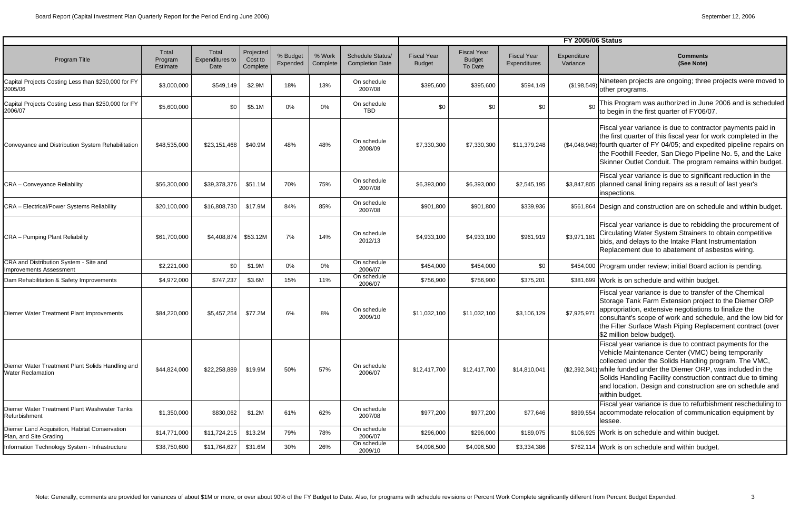|                                                                          |                              |                                         |                                  |                      |                    |                                                   | <b>FY 2005/06 Status</b>            |                                                |                                    |                         |                                                                                                                                                                                                                                                                                                                                                                                                |
|--------------------------------------------------------------------------|------------------------------|-----------------------------------------|----------------------------------|----------------------|--------------------|---------------------------------------------------|-------------------------------------|------------------------------------------------|------------------------------------|-------------------------|------------------------------------------------------------------------------------------------------------------------------------------------------------------------------------------------------------------------------------------------------------------------------------------------------------------------------------------------------------------------------------------------|
| Program Title                                                            | Total<br>Program<br>Estimate | Total<br><b>Expenditures to</b><br>Date | Projected<br>Cost to<br>Complete | % Budget<br>Expended | % Work<br>Complete | <b>Schedule Status/</b><br><b>Completion Date</b> | <b>Fiscal Year</b><br><b>Budget</b> | <b>Fiscal Year</b><br><b>Budget</b><br>To Date | <b>Fiscal Year</b><br>Expenditures | Expenditure<br>Variance | Comments<br>(See Note)                                                                                                                                                                                                                                                                                                                                                                         |
| Capital Projects Costing Less than \$250,000 for FY<br>2005/06           | \$3,000,000                  | \$549,149                               | \$2.9M                           | 18%                  | 13%                | On schedule<br>2007/08                            | \$395,600                           | \$395,600                                      | \$594,149                          | (\$198,549)             | Nineteen projects are ongoing; three projects were moved to<br>other programs.                                                                                                                                                                                                                                                                                                                 |
| Capital Projects Costing Less than \$250,000 for FY<br>2006/07           | \$5,600,000                  | \$0                                     | \$5.1M                           | 0%                   | 0%                 | On schedule<br><b>TBD</b>                         | \$0                                 | \$0                                            | \$0                                | \$0                     | This Program was authorized in June 2006 and is scheduled<br>to begin in the first quarter of FY06/07.                                                                                                                                                                                                                                                                                         |
| Conveyance and Distribution System Rehabilitation                        | \$48,535,000                 | \$23,151,468                            | \$40.9M                          | 48%                  | 48%                | On schedule<br>2008/09                            | \$7,330,300                         | \$7,330,300                                    | \$11,379,248                       |                         | Fiscal year variance is due to contractor payments paid in<br>the first quarter of this fiscal year for work completed in the<br>(\$4,048,948) fourth quarter of FY 04/05; and expedited pipeline repairs on<br>the Foothill Feeder, San Diego Pipeline No. 5, and the Lake<br>Skinner Outlet Conduit. The program remains within budget.                                                      |
| <b>CRA - Conveyance Reliability</b>                                      | \$56,300,000                 | \$39,378,376                            | \$51.1M                          | 70%                  | 75%                | On schedule<br>2007/08                            | \$6,393,000                         | \$6,393,000                                    | \$2,545,195                        |                         | Fiscal year variance is due to significant reduction in the<br>\$3,847,805 planned canal lining repairs as a result of last year's<br>inspections.                                                                                                                                                                                                                                             |
| <b>CRA</b> - Electrical/Power Systems Reliability                        | \$20,100,000                 | \$16,808,730                            | \$17.9M                          | 84%                  | 85%                | On schedule<br>2007/08                            | \$901,800                           | \$901,800                                      | \$339,936                          |                         | \$561,864 Design and construction are on schedule and within budget.                                                                                                                                                                                                                                                                                                                           |
| <b>CRA</b> – Pumping Plant Reliability                                   | \$61,700,000                 | $$4,408,874$ \$53.12M                   |                                  | 7%                   | 14%                | On schedule<br>2012/13                            | \$4,933,100                         | \$4,933,100                                    | \$961,919                          | \$3,971,181             | Fiscal year variance is due to rebidding the procurement of<br>Circulating Water System Strainers to obtain competitive<br>bids, and delays to the Intake Plant Instrumentation<br>Replacement due to abatement of asbestos wiring.                                                                                                                                                            |
| CRA and Distribution System - Site and<br><b>Improvements Assessment</b> | \$2,221,000                  | \$0                                     | \$1.9M                           | 0%                   | $0\%$              | On schedule<br>2006/07                            | \$454,000                           | \$454,000                                      | \$0                                |                         | \$454,000 Program under review; initial Board action is pending.                                                                                                                                                                                                                                                                                                                               |
| Dam Rehabilitation & Safety Improvements                                 | \$4,972,000                  | \$747,237                               | \$3.6M                           | 15%                  | 11%                | On schedule<br>2006/07                            | \$756,900                           | \$756,900                                      | \$375,201                          |                         | \$381,699 Work is on schedule and within budget.                                                                                                                                                                                                                                                                                                                                               |
| Diemer Water Treatment Plant Improvements                                | \$84,220,000                 | \$5,457,254                             | \$77.2M                          | 6%                   | 8%                 | On schedule<br>2009/10                            | \$11,032,100                        | \$11,032,100                                   | \$3,106,129                        | \$7,925,97              | Fiscal year variance is due to transfer of the Chemical<br>Storage Tank Farm Extension project to the Diemer ORP<br>appropriation, extensive negotiations to finalize the<br>consultant's scope of work and schedule, and the low bid for<br>the Filter Surface Wash Piping Replacement contract (over<br>\$2 million below budget).                                                           |
| Diemer Water Treatment Plant Solids Handling and<br>Water Reclamation    | \$44,824,000                 | \$22,258,889                            | \$19.9M                          | 50%                  | 57%                | On schedule<br>2006/07                            | \$12,417,700                        | \$12,417,700                                   | \$14,810,041                       |                         | Fiscal year variance is due to contract payments for the<br>Vehicle Maintenance Center (VMC) being temporarily<br>collected under the Solids Handling program. The VMC,<br>(\$2,392,341) while funded under the Diemer ORP, was included in the<br>Solids Handling Facility construction contract due to timing<br>and location. Design and construction are on schedule and<br>within budget. |
| Diemer Water Treatment Plant Washwater Tanks<br>Refurbishment            | \$1,350,000                  | \$830,062                               | \$1.2M                           | 61%                  | 62%                | On schedule<br>2007/08                            | \$977,200                           | \$977,200                                      | \$77,646                           |                         | Fiscal year variance is due to refurbishment rescheduling to<br>\$899,554 accommodate relocation of communication equipment by<br>lessee.                                                                                                                                                                                                                                                      |
| Diemer Land Acquisition, Habitat Conservation<br>Plan, and Site Grading  | \$14,771,000                 | \$11,724,215                            | \$13.2M                          | 79%                  | 78%                | On schedule<br>2006/07                            | \$296,000                           | \$296,000                                      | \$189,075                          |                         | \$106,925 Work is on schedule and within budget.                                                                                                                                                                                                                                                                                                                                               |
| Information Technology System - Infrastructure                           | \$38,750,600                 | \$11,764,627                            | \$31.6M                          | 30%                  | 26%                | On schedule<br>2009/10                            | \$4,096,500                         | \$4,096,500                                    | \$3,334,386                        |                         | \$762,114 Work is on schedule and within budget.                                                                                                                                                                                                                                                                                                                                               |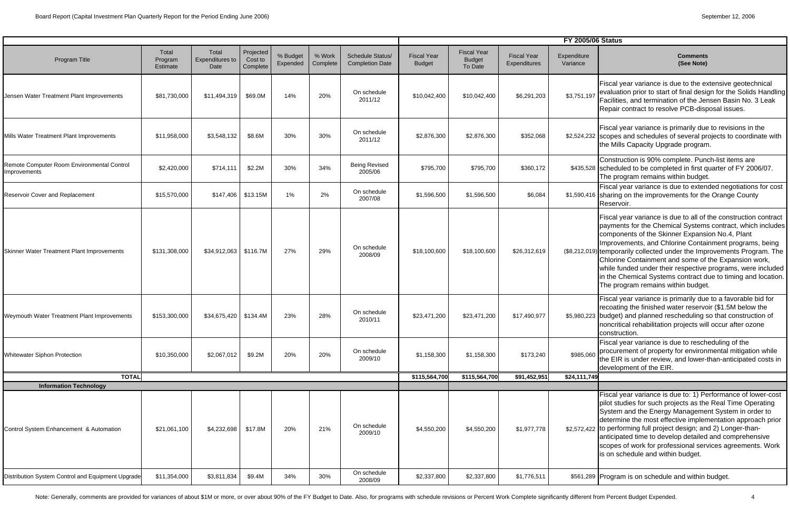|                                                                          |                              |                                         |                                  | <b>FY 2005/06 Status</b> |                    |                                            |                                     |                                                |                                    |                         |                                                                                                                                                                                                                                                                                                                                                                                                                                                                                                                                                    |
|--------------------------------------------------------------------------|------------------------------|-----------------------------------------|----------------------------------|--------------------------|--------------------|--------------------------------------------|-------------------------------------|------------------------------------------------|------------------------------------|-------------------------|----------------------------------------------------------------------------------------------------------------------------------------------------------------------------------------------------------------------------------------------------------------------------------------------------------------------------------------------------------------------------------------------------------------------------------------------------------------------------------------------------------------------------------------------------|
| Program Title                                                            | Total<br>Program<br>Estimate | Total<br><b>Expenditures to</b><br>Date | Projected<br>Cost to<br>Complete | % Budget<br>Expended     | % Work<br>Complete | Schedule Status/<br><b>Completion Date</b> | <b>Fiscal Year</b><br><b>Budget</b> | <b>Fiscal Year</b><br><b>Budget</b><br>To Date | <b>Fiscal Year</b><br>Expenditures | Expenditure<br>Variance | <b>Comments</b><br>(See Note)                                                                                                                                                                                                                                                                                                                                                                                                                                                                                                                      |
| Jensen Water Treatment Plant Improvements                                | \$81,730,000                 | \$11,494,319                            | \$69.0M                          | 14%                      | 20%                | On schedule<br>2011/12                     | \$10,042,400                        | \$10,042,400                                   | \$6,291,203                        | \$3,751,197             | Fiscal year variance is due to the extensive geotechnical<br>evaluation prior to start of final design for the Solids Handling<br>Facilities, and termination of the Jensen Basin No. 3 Leak<br>Repair contract to resolve PCB-disposal issues.                                                                                                                                                                                                                                                                                                    |
| Mills Water Treatment Plant Improvements                                 | \$11,958,000                 | \$3,548,132                             | \$8.6M                           | 30%                      | 30%                | On schedule<br>2011/12                     | \$2,876,300                         | \$2,876,300                                    | \$352,068                          |                         | Fiscal year variance is primarily due to revisions in the<br>\$2,524,232 scopes and schedules of several projects to coordinate with<br>the Mills Capacity Upgrade program.                                                                                                                                                                                                                                                                                                                                                                        |
| Remote Computer Room Environmental Control<br>Improvements               | \$2,420,000                  | \$714,111                               | \$2.2M                           | 30%                      | 34%                | <b>Being Revised</b><br>2005/06            | \$795,700                           | \$795,700                                      | \$360,172                          |                         | Construction is 90% complete. Punch-list items are<br>\$435,528 scheduled to be completed in first quarter of FY 2006/07.<br>The program remains within budget.                                                                                                                                                                                                                                                                                                                                                                                    |
| Reservoir Cover and Replacement                                          | \$15,570,000                 |                                         | $$147,406$ \$13.15M              | 1%                       | 2%                 | On schedule<br>2007/08                     | \$1,596,500                         | \$1,596,500                                    | \$6,084                            |                         | Fiscal year variance is due to extended negotiations for cost<br>\$1,590,416 sharing on the improvements for the Orange County<br>Reservoir.                                                                                                                                                                                                                                                                                                                                                                                                       |
| Skinner Water Treatment Plant Improvements                               | \$131,308,000                | $$34,912,063$ \$116.7M                  |                                  | 27%                      | 29%                | On schedule<br>2008/09                     | \$18,100,600                        | \$18,100,600                                   | \$26,312,619                       |                         | Fiscal year variance is due to all of the construction contract<br>payments for the Chemical Systems contract, which includes<br>components of the Skinner Expansion No.4, Plant<br>Improvements, and Chlorine Containment programs, being<br>(\$8,212,019) temporarily collected under the Improvements Program. The<br>Chlorine Containment and some of the Expansion work,<br>while funded under their respective programs, were included<br>in the Chemical Systems contract due to timing and location.<br>The program remains within budget. |
| Weymouth Water Treatment Plant Improvements                              | \$153,300,000                | \$34,675,420 \$134.4M                   |                                  | 23%                      | 28%                | On schedule<br>2010/11                     | \$23,471,200                        | \$23,471,200                                   | \$17,490,977                       |                         | Fiscal year variance is primarily due to a favorable bid for<br>recoating the finished water reservoir (\$1.5M below the<br>\$5,980,223 budget) and planned rescheduling so that construction of<br>noncritical rehabilitation projects will occur after ozone<br>construction.                                                                                                                                                                                                                                                                    |
| Whitewater Siphon Protection                                             | \$10,350,000                 | \$2,067,012                             | \$9.2M                           | 20%                      | 20%                | On schedule<br>2009/10                     | \$1,158,300                         | \$1,158,300                                    | \$173,240                          | \$985,060               | Fiscal year variance is due to rescheduling of the<br>procurement of property for environmental mitigation while<br>the EIR is under review, and lower-than-anticipated costs in<br>development of the EIR.                                                                                                                                                                                                                                                                                                                                        |
| <b>TOTAL</b>                                                             |                              |                                         |                                  |                          |                    |                                            | \$115,564,700                       | \$115,564,700                                  | \$91,452,951                       | \$24,111,749            |                                                                                                                                                                                                                                                                                                                                                                                                                                                                                                                                                    |
| <b>Information Technology</b><br>Control System Enhancement & Automation | \$21,061,100                 | \$4,232,698                             | \$17.8M                          | 20%                      | 21%                | On schedule<br>2009/10                     | \$4,550,200                         | \$4,550,200                                    | \$1,977,778                        |                         | Fiscal year variance is due to: 1) Performance of lower-cost<br>pilot studies for such projects as the Real Time Operating<br>System and the Energy Management System in order to<br>determine the most effective implementation approach prior<br>\$2,572,422 to performing full project design; and 2) Longer-than-<br>anticipated time to develop detailed and comprehensive<br>scopes of work for professional services agreements. Work<br>is on schedule and within budget.                                                                  |
| Distribution System Control and Equipment Upgrade                        | \$11,354,000                 | \$3,811,834                             | \$9.4M                           | 34%                      | 30%                | On schedule<br>2008/09                     | \$2,337,800                         | \$2,337,800                                    | \$1,776,511                        |                         | \$561,289 Program is on schedule and within budget.                                                                                                                                                                                                                                                                                                                                                                                                                                                                                                |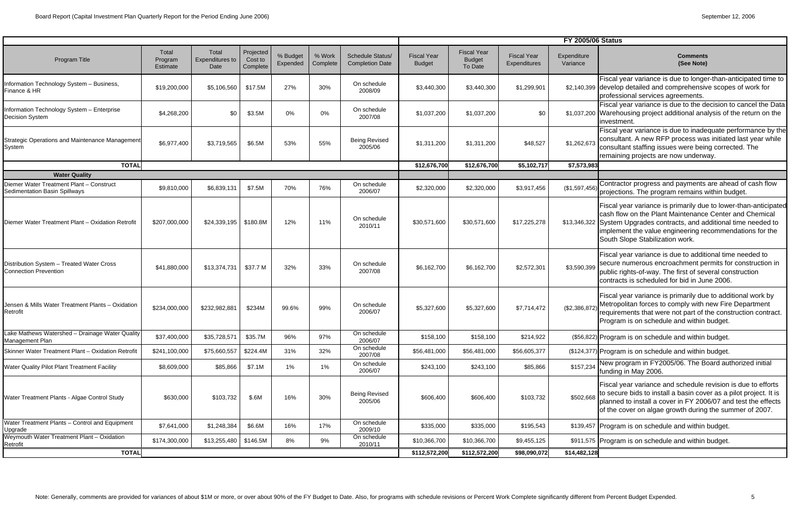|                                                                           |                              |                                  |                                  |                      |                    |                                                   |                                     |                                                |                                    | <b>FY 2005/06 Status</b> |                                                                                                                                                                                                                                                                                                  |
|---------------------------------------------------------------------------|------------------------------|----------------------------------|----------------------------------|----------------------|--------------------|---------------------------------------------------|-------------------------------------|------------------------------------------------|------------------------------------|--------------------------|--------------------------------------------------------------------------------------------------------------------------------------------------------------------------------------------------------------------------------------------------------------------------------------------------|
| Program Title                                                             | Total<br>Program<br>Estimate | Total<br>Expenditures to<br>Date | Projected<br>Cost to<br>Complete | % Budget<br>Expended | % Work<br>Complete | <b>Schedule Status/</b><br><b>Completion Date</b> | <b>Fiscal Year</b><br><b>Budget</b> | <b>Fiscal Year</b><br><b>Budget</b><br>To Date | <b>Fiscal Year</b><br>Expenditures | Expenditure<br>Variance  | Comments<br>(See Note)                                                                                                                                                                                                                                                                           |
| Information Technology System - Business,<br>Finance & HR                 | \$19,200,000                 | \$5,106,560                      | \$17.5M                          | 27%                  | 30%                | On schedule<br>2008/09                            | \$3,440,300                         | \$3,440,300                                    | \$1,299,901                        |                          | Fiscal year variance is due to longer-than-anticipated time to<br>\$2,140,399 develop detailed and comprehensive scopes of work for<br>professional services agreements.                                                                                                                         |
| Information Technology System - Enterprise<br><b>Decision System</b>      | \$4,268,200                  | \$0                              | \$3.5M                           | 0%                   | 0%                 | On schedule<br>2007/08                            | \$1,037,200                         | \$1,037,200                                    | \$0                                |                          | Fiscal year variance is due to the decision to cancel the Data<br>\$1,037,200 Warehousing project additional analysis of the return on the<br>investment.                                                                                                                                        |
| Strategic Operations and Maintenance Management<br>System                 | \$6,977,400                  | \$3,719,565                      | \$6.5M                           | 53%                  | 55%                | <b>Being Revised</b><br>2005/06                   | \$1,311,200                         | \$1,311,200                                    | \$48,527                           | \$1,262,673              | Fiscal year variance is due to inadequate performance by the<br>consultant. A new RFP process was initiated last year while<br>consultant staffing issues were being corrected. The<br>remaining projects are now underway.                                                                      |
| <b>TOTAL</b>                                                              |                              |                                  |                                  |                      |                    |                                                   | \$12,676,700                        | \$12,676,700                                   | \$5,102,717                        | \$7,573,983              |                                                                                                                                                                                                                                                                                                  |
| <b>Water Quality</b>                                                      |                              |                                  |                                  |                      |                    |                                                   |                                     |                                                |                                    |                          |                                                                                                                                                                                                                                                                                                  |
| Diemer Water Treatment Plant - Construct<br>Sedimentation Basin Spillways | \$9,810,000                  | \$6,839,131                      | \$7.5M                           | 70%                  | 76%                | On schedule<br>2006/07                            | \$2,320,000                         | \$2,320,000                                    | \$3,917,456                        | (\$1,597,456             | Contractor progress and payments are ahead of cash flow<br>projections. The program remains within budget.                                                                                                                                                                                       |
| Diemer Water Treatment Plant - Oxidation Retrofit                         | \$207,000,000                | $$24,339,195$ \$180.8M           |                                  | 12%                  | 11%                | On schedule<br>2010/11                            | \$30,571,600                        | \$30,571,600                                   | \$17,225,278                       |                          | Fiscal year variance is primarily due to lower-than-anticipated<br>cash flow on the Plant Maintenance Center and Chemical<br>\$13,346,322 System Upgrades contracts, and additional time needed to<br>implement the value engineering recommendations for the<br>South Slope Stabilization work. |
| Distribution System - Treated Water Cross<br><b>Connection Prevention</b> | \$41,880,000                 | \$13,374,731                     | \$37.7 M                         | 32%                  | 33%                | On schedule<br>2007/08                            | \$6,162,700                         | \$6,162,700                                    | \$2,572,301                        | \$3,590,399              | Fiscal year variance is due to additional time needed to<br>secure numerous encroachment permits for construction in<br>public rights-of-way. The first of several construction<br>contracts is scheduled for bid in June 2006.                                                                  |
| Jensen & Mills Water Treatment Plants - Oxidation<br>Retrofit             | \$234,000,000                | \$232,982,881                    | \$234M                           | 99.6%                | 99%                | On schedule<br>2006/07                            | \$5,327,600                         | \$5,327,600                                    | \$7,714,472                        | \$2,386,872              | Fiscal year variance is primarily due to additional work by<br>Metropolitan forces to comply with new Fire Department<br>requirements that were not part of the construction contract.<br>Program is on schedule and within budget.                                                              |
| Lake Mathews Watershed - Drainage Water Quality<br>Management Plan        | \$37,400,000                 | \$35,728,571                     | \$35.7M                          | 96%                  | 97%                | On schedule<br>2006/07                            | \$158,100                           | \$158,100                                      | \$214,922                          |                          | (\$56,822) Program is on schedule and within budget.                                                                                                                                                                                                                                             |
| Skinner Water Treatment Plant - Oxidation Retrofit                        | \$241,100,000                | \$75,660,557                     | \$224.4M                         | 31%                  | 32%                | On schedule<br>2007/08                            | \$56,481,000                        | \$56,481,000                                   | \$56,605,377                       |                          | (\$124,377) Program is on schedule and within budget.                                                                                                                                                                                                                                            |
| Water Quality Pilot Plant Treatment Facility                              | \$8,609,000                  | \$85,866                         | \$7.1M                           | $1\%$                | $1\%$              | On schedule<br>2006/07                            | \$243,100                           | \$243,100                                      | \$85,866                           | \$157,234                | New program in FY2005/06. The Board authorized initial<br>funding in May 2006.                                                                                                                                                                                                                   |
| Water Treatment Plants - Algae Control Study                              | \$630,000                    | \$103,732                        | \$.6M                            | 16%                  | 30%                | <b>Being Revised</b><br>2005/06                   | \$606,400                           | \$606,400                                      | \$103,732                          | \$502,668                | Fiscal year variance and schedule revision is due to efforts<br>to secure bids to install a basin cover as a pilot project. It is<br>planned to install a cover in FY 2006/07 and test the effects<br>of the cover on algae growth during the summer of 2007.                                    |
| Water Treatment Plants - Control and Equipment<br>Upgrade                 | \$7,641,000                  | \$1,248,384                      | \$6.6M                           | 16%                  | 17%                | On schedule<br>2009/10                            | \$335,000                           | \$335,000                                      | \$195,543                          |                          | \$139,457 Program is on schedule and within budget.                                                                                                                                                                                                                                              |
| Weymouth Water Treatment Plant - Oxidation<br>Retrofit                    | \$174,300,000                | $$13,255,480$ \ \$146.5M         |                                  | 8%                   | 9%                 | On schedule<br>2010/11                            | \$10,366,700                        | \$10,366,700                                   | \$9,455,125                        |                          | \$911,575 Program is on schedule and within budget.                                                                                                                                                                                                                                              |
| <b>TOTAL</b>                                                              |                              |                                  |                                  |                      |                    |                                                   | \$112,572,200                       | \$112,572,200                                  | \$98,090,072                       | \$14,482,128             |                                                                                                                                                                                                                                                                                                  |